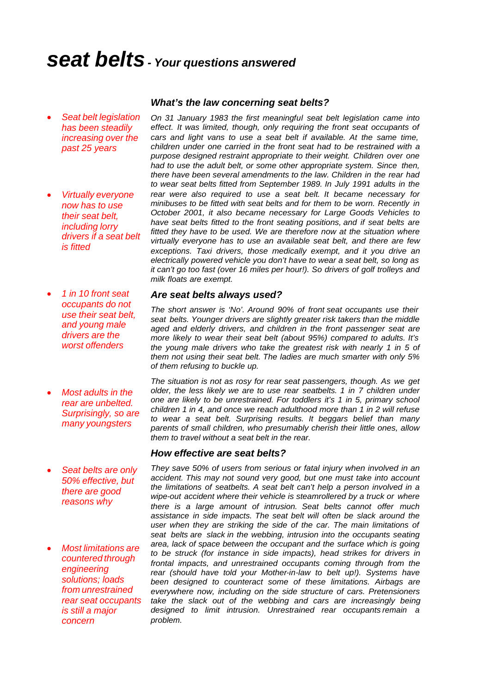# *seat belts- Your questions answered*

· *Seat belt legislation has been steadily increasing over the past 25 years*

· *Virtually everyone now has to use their seat belt, including lorry drivers if a seat belt is fitted*

· *1 in 10 front seat occupants do not use their seat belt, and young male drivers are the worst offenders*

- · *Most adults in the rear are unbelted. Surprisingly, so are many youngsters*
- · *Seat belts are only 50% effective, but there are good reasons why*
- · *Most limitations are countered through engineering solutions; loads from unrestrained rear seat occupants is still a major concern*

#### *What's the law concerning seat belts?*

*On 31 January 1983 the first meaningful seat belt legislation came into effect. It was limited, though, only requiring the front seat occupants of cars and light vans to use a seat belt if available. At the same time, children under one carried in the front seat had to be restrained with a purpose designed restraint appropriate to their weight. Children over one had to use the adult belt, or some other appropriate system. Since then, there have been several amendments to the law. Children in the rear had to wear seat belts fitted from September 1989. In July 1991 adults in the rear were also required to use a seat belt. It became necessary for minibuses to be fitted with seat belts and for them to be worn. Recently in October 2001, it also became necessary for Large Goods Vehicles to have seat belts fitted to the front seating positions, and if seat belts are fitted they have to be used. We are therefore now at the situation where virtually everyone has to use an available seat belt, and there are few exceptions. Taxi drivers, those medically exempt, and it you drive an electrically powered vehicle you don't have to wear a seat belt, so long as it can't go too fast (over 16 miles per hour!). So drivers of golf trolleys and milk floats are exempt.*

#### *Are seat belts always used?*

*The short answer is 'No'. Around 90% of front seat occupants use their seat belts. Younger drivers are slightly greater risk takers than the middle aged and elderly drivers, and children in the front passenger seat are more likely to wear their seat belt (about 95%) compared to adults. It's the young male drivers who take the greatest risk with nearly 1 in 5 of them not using their seat belt. The ladies are much smarter with only 5% of them refusing to buckle up.*

*The situation is not as rosy for rear seat passengers, though. As we get older, the less likely we are to use rear seatbelts. 1 in 7 children under one are likely to be unrestrained. For toddlers it's 1 in 5, primary school children 1 in 4, and once we reach adulthood more than 1 in 2 will refuse to wear a seat belt. Surprising results. It beggars belief than many parents of small children, who presumably cherish their little ones, allow them to travel without a seat belt in the rear.*

#### *How effective are seat belts?*

*They save 50% of users from serious or fatal injury when involved in an accident. This may not sound very good, but one must take into account the limitations of seatbelts. A seat belt can't help a person involved in a wipe-out accident where their vehicle is steamrollered by a truck or where there is a large amount of intrusion. Seat belts cannot offer much assistance in side impacts. The seat belt will often be slack around the user when they are striking the side of the car. The main limitations of seat belts are slack in the webbing, intrusion into the occupants seating area, lack of space between the occupant and the surface which is going to be struck (for instance in side impacts), head strikes for drivers in frontal impacts, and unrestrained occupants coming through from the rear (should have told your Mother-in-law to belt up!). Systems have been designed to counteract some of these limitations. Airbags are everywhere now, including on the side structure of cars. Pretensioners*  take the slack out of the webbing and cars are increasingly being *designed to limit intrusion. Unrestrained rear occupants remain a problem.*